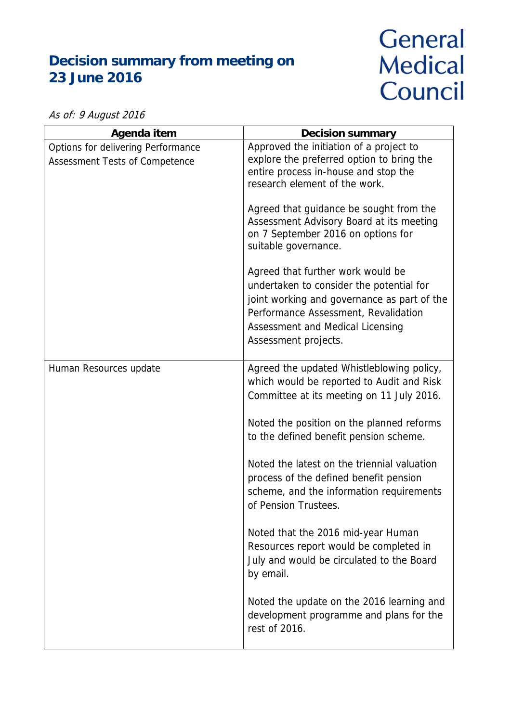## **Decision summary from meeting on 23 June 2016**

## General **Medical** Council

As of: 9 August 2016

| Agenda item                                                                 | <b>Decision summary</b>                                                                                                                                                                                                          |
|-----------------------------------------------------------------------------|----------------------------------------------------------------------------------------------------------------------------------------------------------------------------------------------------------------------------------|
| Options for delivering Performance<br><b>Assessment Tests of Competence</b> | Approved the initiation of a project to<br>explore the preferred option to bring the<br>entire process in-house and stop the<br>research element of the work.                                                                    |
|                                                                             | Agreed that guidance be sought from the<br>Assessment Advisory Board at its meeting<br>on 7 September 2016 on options for<br>suitable governance.                                                                                |
|                                                                             | Agreed that further work would be<br>undertaken to consider the potential for<br>joint working and governance as part of the<br>Performance Assessment, Revalidation<br>Assessment and Medical Licensing<br>Assessment projects. |
| Human Resources update                                                      | Agreed the updated Whistleblowing policy,<br>which would be reported to Audit and Risk<br>Committee at its meeting on 11 July 2016.                                                                                              |
|                                                                             | Noted the position on the planned reforms<br>to the defined benefit pension scheme.                                                                                                                                              |
|                                                                             | Noted the latest on the triennial valuation<br>process of the defined benefit pension<br>scheme, and the information requirements<br>of Pension Trustees.                                                                        |
|                                                                             | Noted that the 2016 mid-year Human<br>Resources report would be completed in<br>July and would be circulated to the Board<br>by email.                                                                                           |
|                                                                             | Noted the update on the 2016 learning and<br>development programme and plans for the<br>rest of 2016.                                                                                                                            |